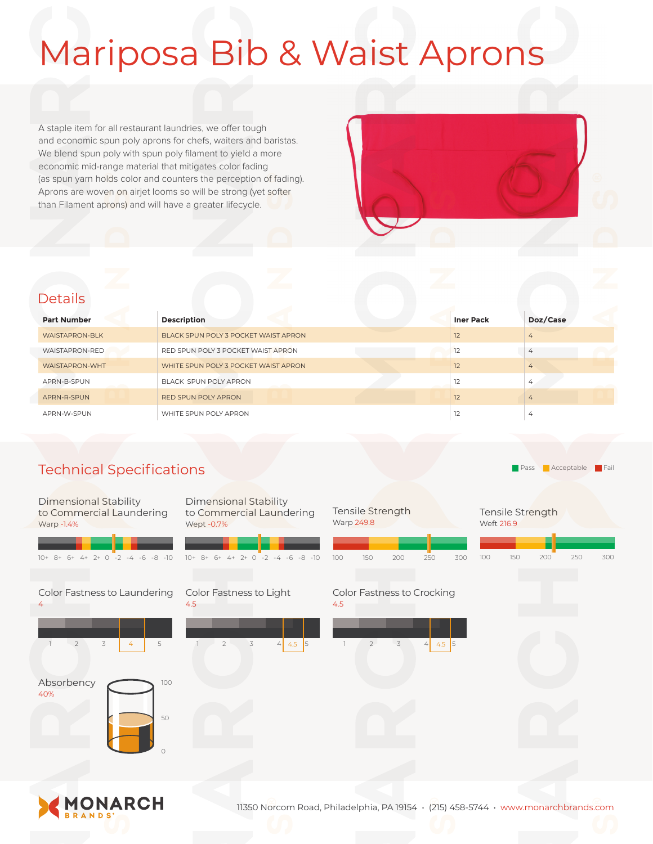# Mariposa Bib & Waist Aprons

A staple item for all restaurant laundries, we offer tough and economic spun poly aprons for chefs, waiters and baristas. We blend spun poly with spun poly filament to yield a more economic mid-range material that mitigates color fading (as spun yarn holds color and counters the perception of fading). Aprons are woven on airjet looms so will be strong (yet softer than Filament aprons) and will have a greater lifecycle.



### **Details**

| <b>Part Number</b>    | <b>Description</b>                   | <b>Iner Pack</b> | Doz/Case       |
|-----------------------|--------------------------------------|------------------|----------------|
| <b>WAISTAPRON-BLK</b> | BLACK SPUN POLY 3 POCKET WAIST APRON | 12               | 4              |
| WAISTAPRON-RED        | RED SPUN POLY 3 POCKET WAIST APRON   | 12               | 4              |
| <b>WAISTAPRON-WHT</b> | WHITE SPUN POLY 3 POCKET WAIST APRON | 12               | $\overline{4}$ |
| APRN-B-SPUN           | BLACK SPUN POLY APRON                | 12               | $\overline{4}$ |
| APRN-R-SPUN           | <b>RED SPUN POLY APRON</b>           | 12               | 4              |
| APRN-W-SPUN           | WHITE SPUN POLY APRON                | 12               | 4              |

Warp 249.8

## Technical Specifications

**Pass** Acceptable Fail

#### Dimensional Stability to Commercial Laundering Warp -1.4%

| $10+8+6+4+2+0-2-4-6-8-10$         | $10+8+6+4+2+0-2-4-6-8-10$                            | 100 | 150            | 200 | 250                        |
|-----------------------------------|------------------------------------------------------|-----|----------------|-----|----------------------------|
| Color Fastness to Laundering<br>4 | Color Fastness to Light<br>4.5                       | 4.5 |                |     | Color Fastness to Crocking |
| 3<br>5<br>$\overline{2}$<br>4     | $4 \times 5$<br>5<br>$\mathcal{Z}$<br>$\overline{2}$ |     | $\overline{2}$ | 3   | 4.5 5<br>4                 |
| Absorbency<br>100<br>40%<br>50    |                                                      |     |                |     |                            |
| Ω                                 |                                                      |     |                |     |                            |

Dimensional Stability to Commercial Laundering

Wept -0.7%